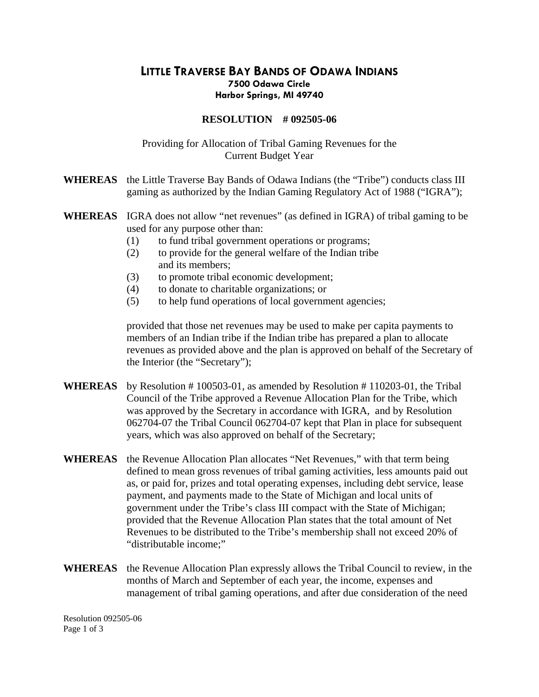## **LITTLE TRAVERSE BAY BANDS OF ODAWA INDIANS 7500 Odawa Circle Harbor Springs, MI 49740**

## **RESOLUTION # 092505-06**

## Providing for Allocation of Tribal Gaming Revenues for the Current Budget Year

- **WHEREAS** the Little Traverse Bay Bands of Odawa Indians (the "Tribe") conducts class III gaming as authorized by the Indian Gaming Regulatory Act of 1988 ("IGRA");
- **WHEREAS** IGRA does not allow "net revenues" (as defined in IGRA) of tribal gaming to be used for any purpose other than:
	- (1) to fund tribal government operations or programs;
	- (2) to provide for the general welfare of the Indian tribe and its members;
	- (3) to promote tribal economic development;
	- (4) to donate to charitable organizations; or
	- (5) to help fund operations of local government agencies;

provided that those net revenues may be used to make per capita payments to members of an Indian tribe if the Indian tribe has prepared a plan to allocate revenues as provided above and the plan is approved on behalf of the Secretary of the Interior (the "Secretary");

- **WHEREAS** by Resolution # 100503-01, as amended by Resolution # 110203-01, the Tribal Council of the Tribe approved a Revenue Allocation Plan for the Tribe, which was approved by the Secretary in accordance with IGRA, and by Resolution 062704-07 the Tribal Council 062704-07 kept that Plan in place for subsequent years, which was also approved on behalf of the Secretary;
- **WHEREAS** the Revenue Allocation Plan allocates "Net Revenues," with that term being defined to mean gross revenues of tribal gaming activities, less amounts paid out as, or paid for, prizes and total operating expenses, including debt service, lease payment, and payments made to the State of Michigan and local units of government under the Tribe's class III compact with the State of Michigan; provided that the Revenue Allocation Plan states that the total amount of Net Revenues to be distributed to the Tribe's membership shall not exceed 20% of "distributable income;"
- **WHEREAS** the Revenue Allocation Plan expressly allows the Tribal Council to review, in the months of March and September of each year, the income, expenses and management of tribal gaming operations, and after due consideration of the need

Resolution 092505-06 Page 1 of 3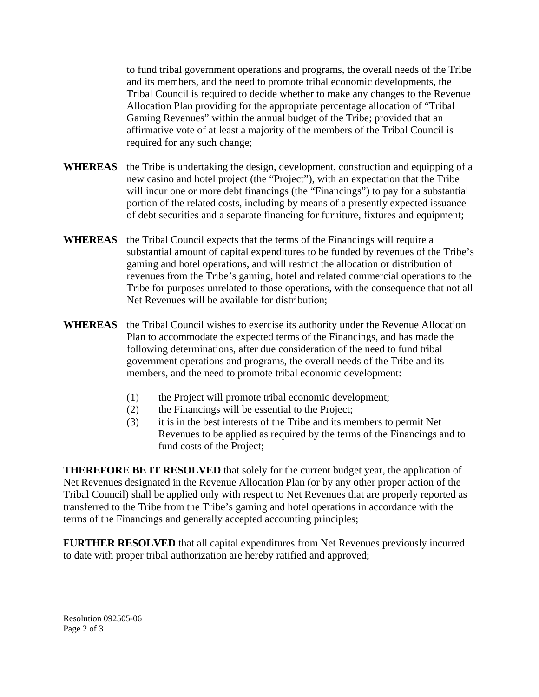to fund tribal government operations and programs, the overall needs of the Tribe and its members, and the need to promote tribal economic developments, the Tribal Council is required to decide whether to make any changes to the Revenue Allocation Plan providing for the appropriate percentage allocation of "Tribal Gaming Revenues" within the annual budget of the Tribe; provided that an affirmative vote of at least a majority of the members of the Tribal Council is required for any such change;

- **WHEREAS** the Tribe is undertaking the design, development, construction and equipping of a new casino and hotel project (the "Project"), with an expectation that the Tribe will incur one or more debt financings (the "Financings") to pay for a substantial portion of the related costs, including by means of a presently expected issuance of debt securities and a separate financing for furniture, fixtures and equipment;
- **WHEREAS** the Tribal Council expects that the terms of the Financings will require a substantial amount of capital expenditures to be funded by revenues of the Tribe's gaming and hotel operations, and will restrict the allocation or distribution of revenues from the Tribe's gaming, hotel and related commercial operations to the Tribe for purposes unrelated to those operations, with the consequence that not all Net Revenues will be available for distribution;
- **WHEREAS** the Tribal Council wishes to exercise its authority under the Revenue Allocation Plan to accommodate the expected terms of the Financings, and has made the following determinations, after due consideration of the need to fund tribal government operations and programs, the overall needs of the Tribe and its members, and the need to promote tribal economic development:
	- (1) the Project will promote tribal economic development;
	- (2) the Financings will be essential to the Project;
	- (3) it is in the best interests of the Tribe and its members to permit Net Revenues to be applied as required by the terms of the Financings and to fund costs of the Project;

**THEREFORE BE IT RESOLVED** that solely for the current budget year, the application of Net Revenues designated in the Revenue Allocation Plan (or by any other proper action of the Tribal Council) shall be applied only with respect to Net Revenues that are properly reported as transferred to the Tribe from the Tribe's gaming and hotel operations in accordance with the terms of the Financings and generally accepted accounting principles;

**FURTHER RESOLVED** that all capital expenditures from Net Revenues previously incurred to date with proper tribal authorization are hereby ratified and approved;